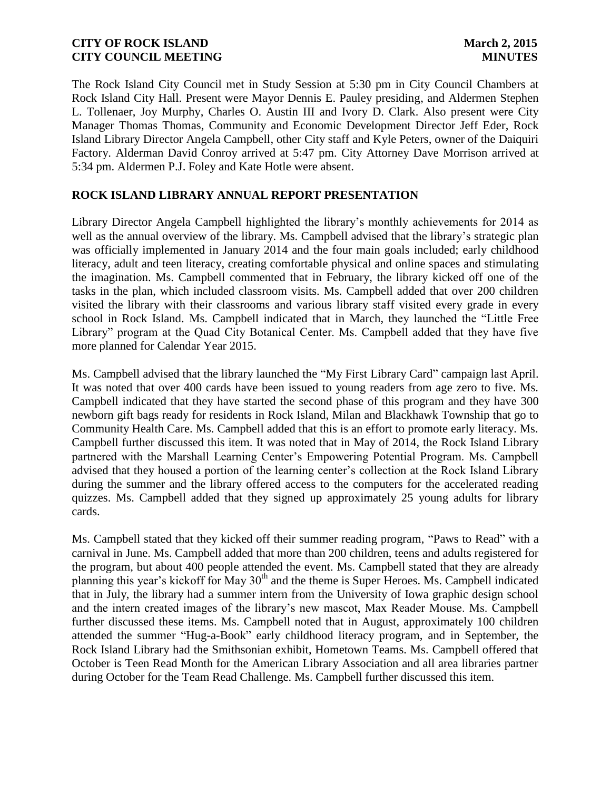The Rock Island City Council met in Study Session at 5:30 pm in City Council Chambers at Rock Island City Hall. Present were Mayor Dennis E. Pauley presiding, and Aldermen Stephen L. Tollenaer, Joy Murphy, Charles O. Austin III and Ivory D. Clark. Also present were City Manager Thomas Thomas, Community and Economic Development Director Jeff Eder, Rock Island Library Director Angela Campbell, other City staff and Kyle Peters, owner of the Daiquiri Factory. Alderman David Conroy arrived at 5:47 pm. City Attorney Dave Morrison arrived at 5:34 pm. Aldermen P.J. Foley and Kate Hotle were absent.

# **ROCK ISLAND LIBRARY ANNUAL REPORT PRESENTATION**

Library Director Angela Campbell highlighted the library's monthly achievements for 2014 as well as the annual overview of the library. Ms. Campbell advised that the library's strategic plan was officially implemented in January 2014 and the four main goals included; early childhood literacy, adult and teen literacy, creating comfortable physical and online spaces and stimulating the imagination. Ms. Campbell commented that in February, the library kicked off one of the tasks in the plan, which included classroom visits. Ms. Campbell added that over 200 children visited the library with their classrooms and various library staff visited every grade in every school in Rock Island. Ms. Campbell indicated that in March, they launched the "Little Free Library" program at the Quad City Botanical Center. Ms. Campbell added that they have five more planned for Calendar Year 2015.

Ms. Campbell advised that the library launched the "My First Library Card" campaign last April. It was noted that over 400 cards have been issued to young readers from age zero to five. Ms. Campbell indicated that they have started the second phase of this program and they have 300 newborn gift bags ready for residents in Rock Island, Milan and Blackhawk Township that go to Community Health Care. Ms. Campbell added that this is an effort to promote early literacy. Ms. Campbell further discussed this item. It was noted that in May of 2014, the Rock Island Library partnered with the Marshall Learning Center's Empowering Potential Program. Ms. Campbell advised that they housed a portion of the learning center's collection at the Rock Island Library during the summer and the library offered access to the computers for the accelerated reading quizzes. Ms. Campbell added that they signed up approximately 25 young adults for library cards.

Ms. Campbell stated that they kicked off their summer reading program, "Paws to Read" with a carnival in June. Ms. Campbell added that more than 200 children, teens and adults registered for the program, but about 400 people attended the event. Ms. Campbell stated that they are already planning this year's kickoff for May 30<sup>th</sup> and the theme is Super Heroes. Ms. Campbell indicated that in July, the library had a summer intern from the University of Iowa graphic design school and the intern created images of the library's new mascot, Max Reader Mouse. Ms. Campbell further discussed these items. Ms. Campbell noted that in August, approximately 100 children attended the summer "Hug-a-Book" early childhood literacy program, and in September, the Rock Island Library had the Smithsonian exhibit, Hometown Teams. Ms. Campbell offered that October is Teen Read Month for the American Library Association and all area libraries partner during October for the Team Read Challenge. Ms. Campbell further discussed this item.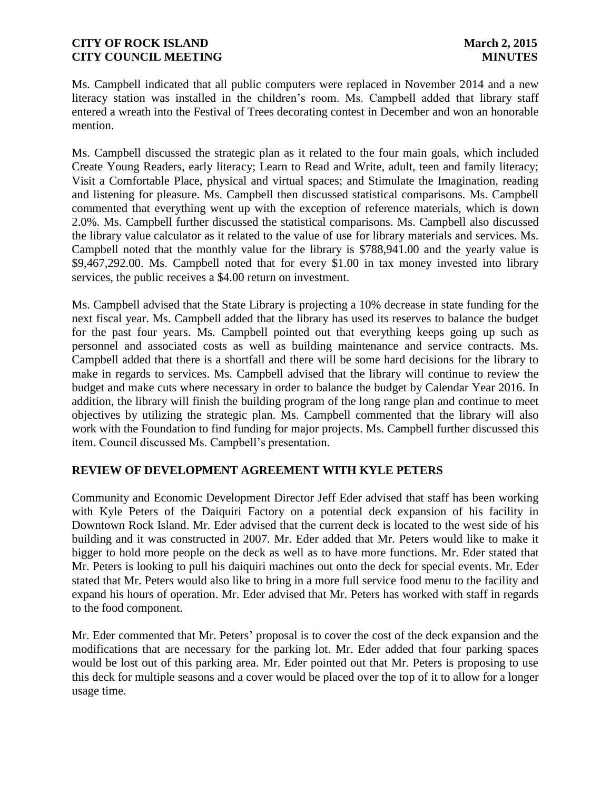Ms. Campbell indicated that all public computers were replaced in November 2014 and a new literacy station was installed in the children's room. Ms. Campbell added that library staff entered a wreath into the Festival of Trees decorating contest in December and won an honorable mention.

Ms. Campbell discussed the strategic plan as it related to the four main goals, which included Create Young Readers, early literacy; Learn to Read and Write, adult, teen and family literacy; Visit a Comfortable Place, physical and virtual spaces; and Stimulate the Imagination, reading and listening for pleasure. Ms. Campbell then discussed statistical comparisons. Ms. Campbell commented that everything went up with the exception of reference materials, which is down 2.0%. Ms. Campbell further discussed the statistical comparisons. Ms. Campbell also discussed the library value calculator as it related to the value of use for library materials and services. Ms. Campbell noted that the monthly value for the library is \$788,941.00 and the yearly value is \$9,467,292.00. Ms. Campbell noted that for every \$1.00 in tax money invested into library services, the public receives a \$4.00 return on investment.

Ms. Campbell advised that the State Library is projecting a 10% decrease in state funding for the next fiscal year. Ms. Campbell added that the library has used its reserves to balance the budget for the past four years. Ms. Campbell pointed out that everything keeps going up such as personnel and associated costs as well as building maintenance and service contracts. Ms. Campbell added that there is a shortfall and there will be some hard decisions for the library to make in regards to services. Ms. Campbell advised that the library will continue to review the budget and make cuts where necessary in order to balance the budget by Calendar Year 2016. In addition, the library will finish the building program of the long range plan and continue to meet objectives by utilizing the strategic plan. Ms. Campbell commented that the library will also work with the Foundation to find funding for major projects. Ms. Campbell further discussed this item. Council discussed Ms. Campbell's presentation.

### **REVIEW OF DEVELOPMENT AGREEMENT WITH KYLE PETERS**

Community and Economic Development Director Jeff Eder advised that staff has been working with Kyle Peters of the Daiquiri Factory on a potential deck expansion of his facility in Downtown Rock Island. Mr. Eder advised that the current deck is located to the west side of his building and it was constructed in 2007. Mr. Eder added that Mr. Peters would like to make it bigger to hold more people on the deck as well as to have more functions. Mr. Eder stated that Mr. Peters is looking to pull his daiquiri machines out onto the deck for special events. Mr. Eder stated that Mr. Peters would also like to bring in a more full service food menu to the facility and expand his hours of operation. Mr. Eder advised that Mr. Peters has worked with staff in regards to the food component.

Mr. Eder commented that Mr. Peters' proposal is to cover the cost of the deck expansion and the modifications that are necessary for the parking lot. Mr. Eder added that four parking spaces would be lost out of this parking area. Mr. Eder pointed out that Mr. Peters is proposing to use this deck for multiple seasons and a cover would be placed over the top of it to allow for a longer usage time.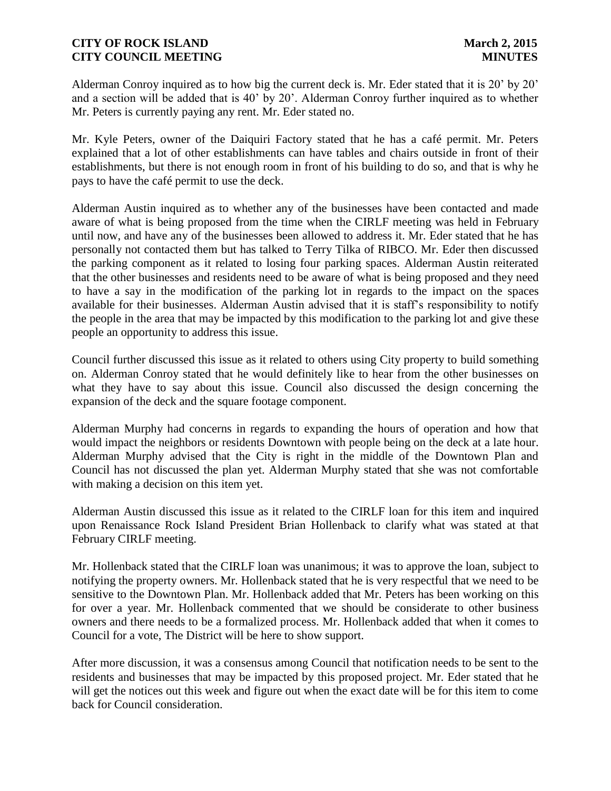Alderman Conroy inquired as to how big the current deck is. Mr. Eder stated that it is 20' by 20' and a section will be added that is 40' by 20'. Alderman Conroy further inquired as to whether Mr. Peters is currently paying any rent. Mr. Eder stated no.

Mr. Kyle Peters, owner of the Daiquiri Factory stated that he has a café permit. Mr. Peters explained that a lot of other establishments can have tables and chairs outside in front of their establishments, but there is not enough room in front of his building to do so, and that is why he pays to have the café permit to use the deck.

Alderman Austin inquired as to whether any of the businesses have been contacted and made aware of what is being proposed from the time when the CIRLF meeting was held in February until now, and have any of the businesses been allowed to address it. Mr. Eder stated that he has personally not contacted them but has talked to Terry Tilka of RIBCO. Mr. Eder then discussed the parking component as it related to losing four parking spaces. Alderman Austin reiterated that the other businesses and residents need to be aware of what is being proposed and they need to have a say in the modification of the parking lot in regards to the impact on the spaces available for their businesses. Alderman Austin advised that it is staff's responsibility to notify the people in the area that may be impacted by this modification to the parking lot and give these people an opportunity to address this issue.

Council further discussed this issue as it related to others using City property to build something on. Alderman Conroy stated that he would definitely like to hear from the other businesses on what they have to say about this issue. Council also discussed the design concerning the expansion of the deck and the square footage component.

Alderman Murphy had concerns in regards to expanding the hours of operation and how that would impact the neighbors or residents Downtown with people being on the deck at a late hour. Alderman Murphy advised that the City is right in the middle of the Downtown Plan and Council has not discussed the plan yet. Alderman Murphy stated that she was not comfortable with making a decision on this item yet.

Alderman Austin discussed this issue as it related to the CIRLF loan for this item and inquired upon Renaissance Rock Island President Brian Hollenback to clarify what was stated at that February CIRLF meeting.

Mr. Hollenback stated that the CIRLF loan was unanimous; it was to approve the loan, subject to notifying the property owners. Mr. Hollenback stated that he is very respectful that we need to be sensitive to the Downtown Plan. Mr. Hollenback added that Mr. Peters has been working on this for over a year. Mr. Hollenback commented that we should be considerate to other business owners and there needs to be a formalized process. Mr. Hollenback added that when it comes to Council for a vote, The District will be here to show support.

After more discussion, it was a consensus among Council that notification needs to be sent to the residents and businesses that may be impacted by this proposed project. Mr. Eder stated that he will get the notices out this week and figure out when the exact date will be for this item to come back for Council consideration.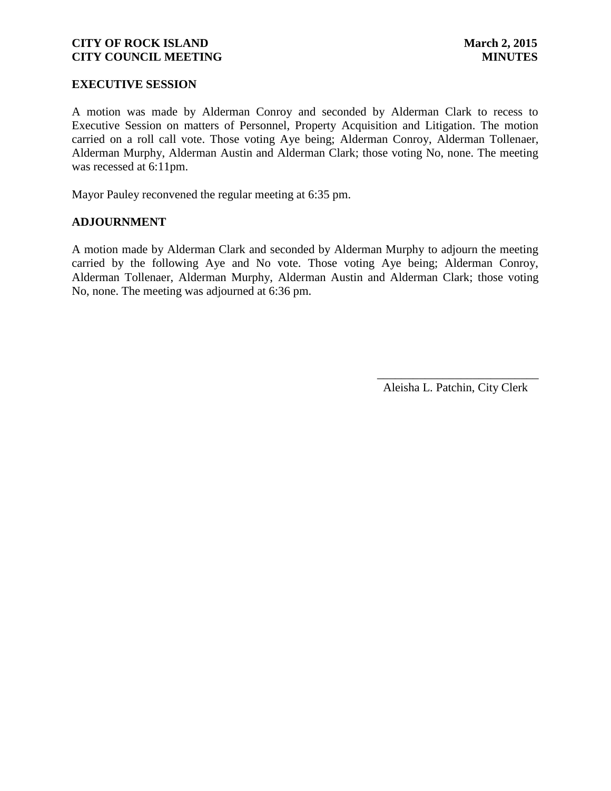#### **EXECUTIVE SESSION**

A motion was made by Alderman Conroy and seconded by Alderman Clark to recess to Executive Session on matters of Personnel, Property Acquisition and Litigation. The motion carried on a roll call vote. Those voting Aye being; Alderman Conroy, Alderman Tollenaer, Alderman Murphy, Alderman Austin and Alderman Clark; those voting No, none. The meeting was recessed at 6:11pm.

Mayor Pauley reconvened the regular meeting at 6:35 pm.

#### **ADJOURNMENT**

A motion made by Alderman Clark and seconded by Alderman Murphy to adjourn the meeting carried by the following Aye and No vote. Those voting Aye being; Alderman Conroy, Alderman Tollenaer, Alderman Murphy, Alderman Austin and Alderman Clark; those voting No, none. The meeting was adjourned at 6:36 pm.

Aleisha L. Patchin, City Clerk

 $\frac{1}{2}$  ,  $\frac{1}{2}$  ,  $\frac{1}{2}$  ,  $\frac{1}{2}$  ,  $\frac{1}{2}$  ,  $\frac{1}{2}$  ,  $\frac{1}{2}$  ,  $\frac{1}{2}$  ,  $\frac{1}{2}$  ,  $\frac{1}{2}$  ,  $\frac{1}{2}$  ,  $\frac{1}{2}$  ,  $\frac{1}{2}$  ,  $\frac{1}{2}$  ,  $\frac{1}{2}$  ,  $\frac{1}{2}$  ,  $\frac{1}{2}$  ,  $\frac{1}{2}$  ,  $\frac{1$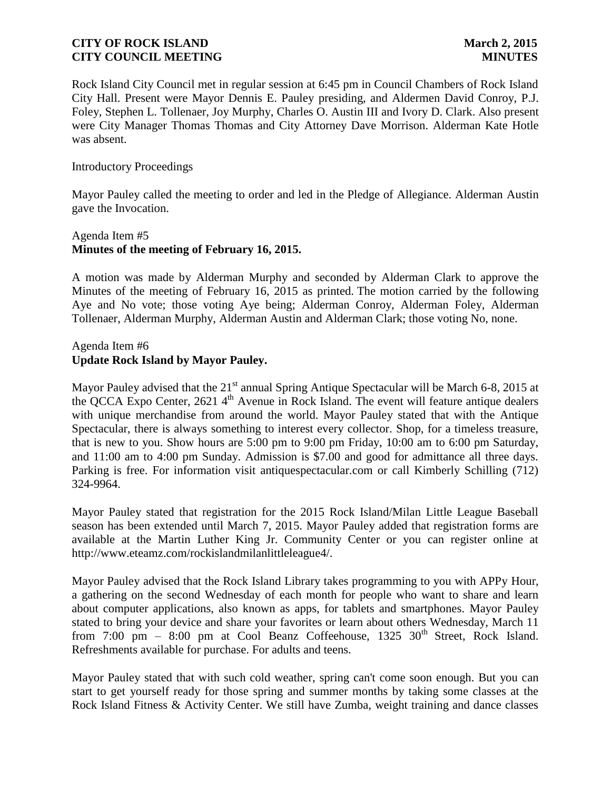Rock Island City Council met in regular session at 6:45 pm in Council Chambers of Rock Island City Hall. Present were Mayor Dennis E. Pauley presiding, and Aldermen David Conroy, P.J. Foley, Stephen L. Tollenaer, Joy Murphy, Charles O. Austin III and Ivory D. Clark. Also present were City Manager Thomas Thomas and City Attorney Dave Morrison. Alderman Kate Hotle was absent.

#### Introductory Proceedings

Mayor Pauley called the meeting to order and led in the Pledge of Allegiance. Alderman Austin gave the Invocation.

### Agenda Item #5 **Minutes of the meeting of February 16, 2015.**

A motion was made by Alderman Murphy and seconded by Alderman Clark to approve the Minutes of the meeting of February 16, 2015 as printed. The motion carried by the following Aye and No vote; those voting Aye being; Alderman Conroy, Alderman Foley, Alderman Tollenaer, Alderman Murphy, Alderman Austin and Alderman Clark; those voting No, none.

### Agenda Item #6 **Update Rock Island by Mayor Pauley.**

Mayor Pauley advised that the 21<sup>st</sup> annual Spring Antique Spectacular will be March 6-8, 2015 at the QCCA Expo Center,  $2621.4<sup>th</sup>$  Avenue in Rock Island. The event will feature antique dealers with unique merchandise from around the world. Mayor Pauley stated that with the Antique Spectacular, there is always something to interest every collector. Shop, for a timeless treasure, that is new to you. Show hours are 5:00 pm to 9:00 pm Friday, 10:00 am to 6:00 pm Saturday, and 11:00 am to 4:00 pm Sunday. Admission is \$7.00 and good for admittance all three days. Parking is free. For information visit antiquespectacular.com or call Kimberly Schilling (712) 324-9964.

Mayor Pauley stated that registration for the 2015 Rock Island/Milan Little League Baseball season has been extended until March 7, 2015. Mayor Pauley added that registration forms are available at the Martin Luther King Jr. Community Center or you can register online at http://www.eteamz.com/rockislandmilanlittleleague4/.

Mayor Pauley advised that the Rock Island Library takes programming to you with APPy Hour, a gathering on the second Wednesday of each month for people who want to share and learn about computer applications, also known as apps, for tablets and smartphones. Mayor Pauley stated to bring your device and share your favorites or learn about others Wednesday, March 11 from 7:00 pm – 8:00 pm at Cool Beanz Coffeehouse,  $1325 \cdot 30^{th}$  Street, Rock Island. Refreshments available for purchase. For adults and teens.

Mayor Pauley stated that with such cold weather, spring can't come soon enough. But you can start to get yourself ready for those spring and summer months by taking some classes at the Rock Island Fitness & Activity Center. We still have Zumba, weight training and dance classes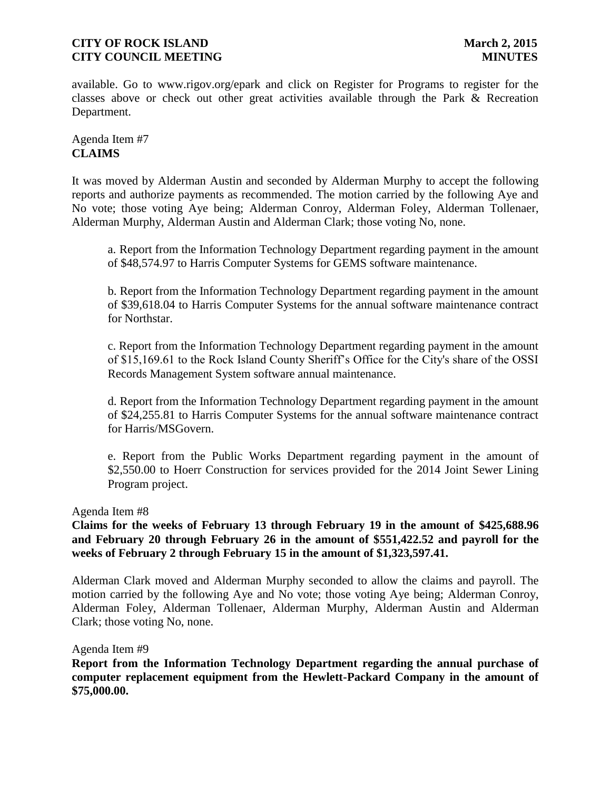available. Go to www.rigov.org/epark and click on Register for Programs to register for the classes above or check out other great activities available through the Park & Recreation Department.

# Agenda Item #7 **CLAIMS**

It was moved by Alderman Austin and seconded by Alderman Murphy to accept the following reports and authorize payments as recommended. The motion carried by the following Aye and No vote; those voting Aye being; Alderman Conroy, Alderman Foley, Alderman Tollenaer, Alderman Murphy, Alderman Austin and Alderman Clark; those voting No, none.

a. Report from the Information Technology Department regarding payment in the amount of \$48,574.97 to Harris Computer Systems for GEMS software maintenance.

b. Report from the Information Technology Department regarding payment in the amount of \$39,618.04 to Harris Computer Systems for the annual software maintenance contract for Northstar.

c. Report from the Information Technology Department regarding payment in the amount of \$15,169.61 to the Rock Island County Sheriff's Office for the City's share of the OSSI Records Management System software annual maintenance.

d. Report from the Information Technology Department regarding payment in the amount of \$24,255.81 to Harris Computer Systems for the annual software maintenance contract for Harris/MSGovern.

e. Report from the Public Works Department regarding payment in the amount of \$2,550.00 to Hoerr Construction for services provided for the 2014 Joint Sewer Lining Program project.

### Agenda Item #8

# **Claims for the weeks of February 13 through February 19 in the amount of \$425,688.96 and February 20 through February 26 in the amount of \$551,422.52 and payroll for the weeks of February 2 through February 15 in the amount of \$1,323,597.41.**

Alderman Clark moved and Alderman Murphy seconded to allow the claims and payroll. The motion carried by the following Aye and No vote; those voting Aye being; Alderman Conroy, Alderman Foley, Alderman Tollenaer, Alderman Murphy, Alderman Austin and Alderman Clark; those voting No, none.

Agenda Item #9

**Report from the Information Technology Department regarding the annual purchase of computer replacement equipment from the Hewlett-Packard Company in the amount of \$75,000.00.**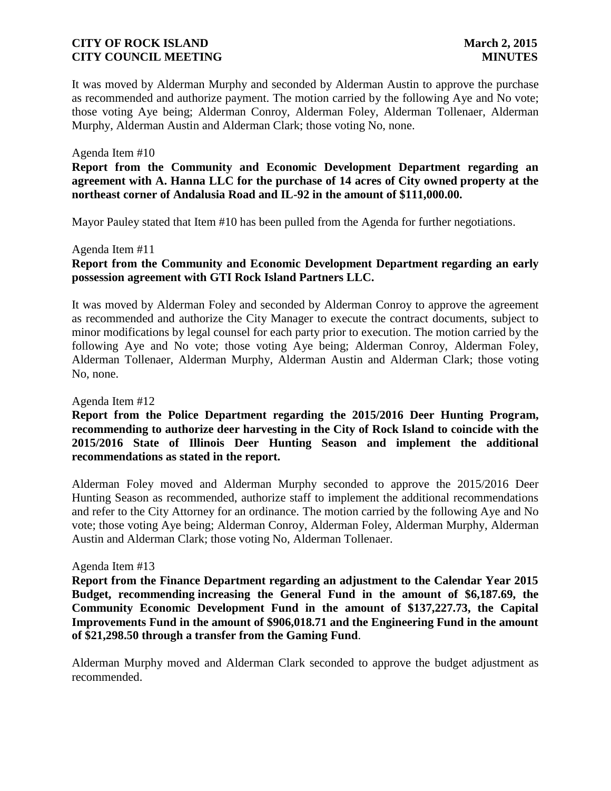It was moved by Alderman Murphy and seconded by Alderman Austin to approve the purchase as recommended and authorize payment. The motion carried by the following Aye and No vote; those voting Aye being; Alderman Conroy, Alderman Foley, Alderman Tollenaer, Alderman Murphy, Alderman Austin and Alderman Clark; those voting No, none.

#### Agenda Item #10

**Report from the Community and Economic Development Department regarding an agreement with A. Hanna LLC for the purchase of 14 acres of City owned property at the northeast corner of Andalusia Road and IL-92 in the amount of \$111,000.00.**

Mayor Pauley stated that Item #10 has been pulled from the Agenda for further negotiations.

#### Agenda Item #11

# **Report from the Community and Economic Development Department regarding an early possession agreement with GTI Rock Island Partners LLC.**

It was moved by Alderman Foley and seconded by Alderman Conroy to approve the agreement as recommended and authorize the City Manager to execute the contract documents, subject to minor modifications by legal counsel for each party prior to execution. The motion carried by the following Aye and No vote; those voting Aye being; Alderman Conroy, Alderman Foley, Alderman Tollenaer, Alderman Murphy, Alderman Austin and Alderman Clark; those voting No, none.

#### Agenda Item #12

**Report from the Police Department regarding the 2015/2016 Deer Hunting Program, recommending to authorize deer harvesting in the City of Rock Island to coincide with the 2015/2016 State of Illinois Deer Hunting Season and implement the additional recommendations as stated in the report.**

Alderman Foley moved and Alderman Murphy seconded to approve the 2015/2016 Deer Hunting Season as recommended, authorize staff to implement the additional recommendations and refer to the City Attorney for an ordinance. The motion carried by the following Aye and No vote; those voting Aye being; Alderman Conroy, Alderman Foley, Alderman Murphy, Alderman Austin and Alderman Clark; those voting No, Alderman Tollenaer.

#### Agenda Item #13

**Report from the Finance Department regarding an adjustment to the Calendar Year 2015 Budget, recommending increasing the General Fund in the amount of \$6,187.69, the Community Economic Development Fund in the amount of \$137,227.73, the Capital Improvements Fund in the amount of \$906,018.71 and the Engineering Fund in the amount of \$21,298.50 through a transfer from the Gaming Fund**.

Alderman Murphy moved and Alderman Clark seconded to approve the budget adjustment as recommended.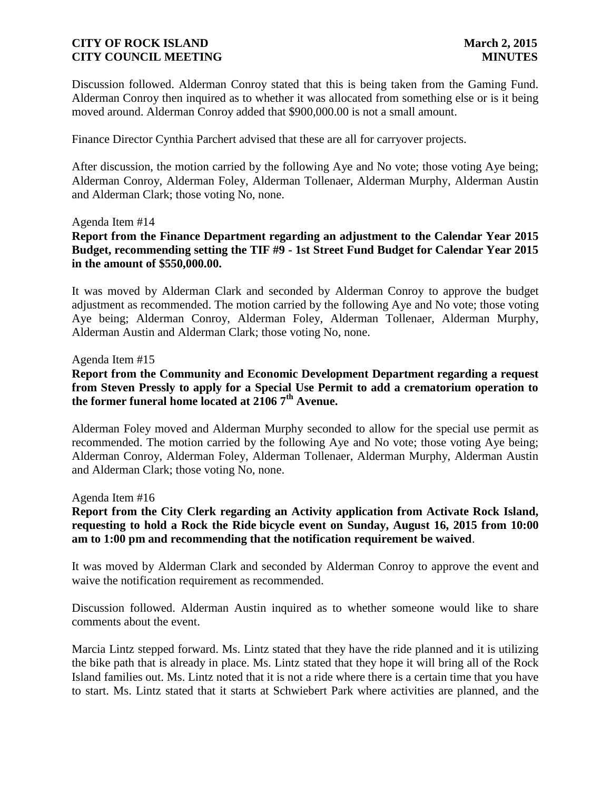Discussion followed. Alderman Conroy stated that this is being taken from the Gaming Fund. Alderman Conroy then inquired as to whether it was allocated from something else or is it being moved around. Alderman Conroy added that \$900,000.00 is not a small amount.

Finance Director Cynthia Parchert advised that these are all for carryover projects.

After discussion, the motion carried by the following Aye and No vote; those voting Aye being; Alderman Conroy, Alderman Foley, Alderman Tollenaer, Alderman Murphy, Alderman Austin and Alderman Clark; those voting No, none.

#### Agenda Item #14

**Report from the Finance Department regarding an adjustment to the Calendar Year 2015 Budget, recommending setting the TIF #9 - 1st Street Fund Budget for Calendar Year 2015 in the amount of \$550,000.00.**

It was moved by Alderman Clark and seconded by Alderman Conroy to approve the budget adjustment as recommended. The motion carried by the following Aye and No vote; those voting Aye being; Alderman Conroy, Alderman Foley, Alderman Tollenaer, Alderman Murphy, Alderman Austin and Alderman Clark; those voting No, none.

#### Agenda Item #15

**Report from the Community and Economic Development Department regarding a request from Steven Pressly to apply for a Special Use Permit to add a crematorium operation to the former funeral home located at 2106 7th Avenue.**

Alderman Foley moved and Alderman Murphy seconded to allow for the special use permit as recommended. The motion carried by the following Aye and No vote; those voting Aye being; Alderman Conroy, Alderman Foley, Alderman Tollenaer, Alderman Murphy, Alderman Austin and Alderman Clark; those voting No, none.

#### Agenda Item #16

# **Report from the City Clerk regarding an Activity application from Activate Rock Island, requesting to hold a Rock the Ride bicycle event on Sunday, August 16, 2015 from 10:00 am to 1:00 pm and recommending that the notification requirement be waived**.

It was moved by Alderman Clark and seconded by Alderman Conroy to approve the event and waive the notification requirement as recommended.

Discussion followed. Alderman Austin inquired as to whether someone would like to share comments about the event.

Marcia Lintz stepped forward. Ms. Lintz stated that they have the ride planned and it is utilizing the bike path that is already in place. Ms. Lintz stated that they hope it will bring all of the Rock Island families out. Ms. Lintz noted that it is not a ride where there is a certain time that you have to start. Ms. Lintz stated that it starts at Schwiebert Park where activities are planned, and the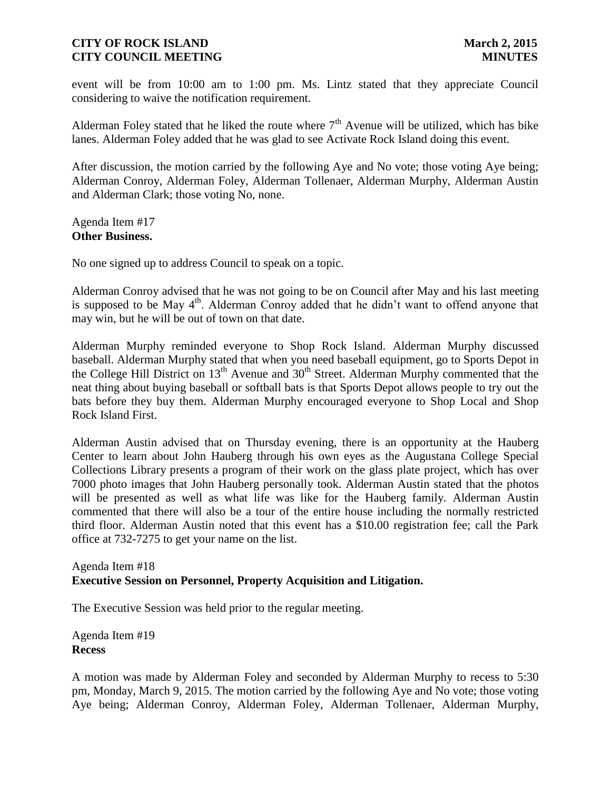event will be from 10:00 am to 1:00 pm. Ms. Lintz stated that they appreciate Council considering to waive the notification requirement.

Alderman Foley stated that he liked the route where  $7<sup>th</sup>$  Avenue will be utilized, which has bike lanes. Alderman Foley added that he was glad to see Activate Rock Island doing this event.

After discussion, the motion carried by the following Aye and No vote; those voting Aye being; Alderman Conroy, Alderman Foley, Alderman Tollenaer, Alderman Murphy, Alderman Austin and Alderman Clark; those voting No, none.

Agenda Item #17 **Other Business.**

No one signed up to address Council to speak on a topic.

Alderman Conroy advised that he was not going to be on Council after May and his last meeting is supposed to be May  $4<sup>th</sup>$ . Alderman Conroy added that he didn't want to offend anyone that may win, but he will be out of town on that date.

Alderman Murphy reminded everyone to Shop Rock Island. Alderman Murphy discussed baseball. Alderman Murphy stated that when you need baseball equipment, go to Sports Depot in the College Hill District on  $13<sup>th</sup>$  Avenue and  $30<sup>th</sup>$  Street. Alderman Murphy commented that the neat thing about buying baseball or softball bats is that Sports Depot allows people to try out the bats before they buy them. Alderman Murphy encouraged everyone to Shop Local and Shop Rock Island First.

Alderman Austin advised that on Thursday evening, there is an opportunity at the Hauberg Center to learn about John Hauberg through his own eyes as the Augustana College Special Collections Library presents a program of their work on the glass plate project, which has over 7000 photo images that John Hauberg personally took. Alderman Austin stated that the photos will be presented as well as what life was like for the Hauberg family. Alderman Austin commented that there will also be a tour of the entire house including the normally restricted third floor. Alderman Austin noted that this event has a \$10.00 registration fee; call the Park office at 732-7275 to get your name on the list.

### Agenda Item #18 **Executive Session on Personnel, Property Acquisition and Litigation.**

The Executive Session was held prior to the regular meeting.

Agenda Item #19 **Recess**

A motion was made by Alderman Foley and seconded by Alderman Murphy to recess to 5:30 pm, Monday, March 9, 2015. The motion carried by the following Aye and No vote; those voting Aye being; Alderman Conroy, Alderman Foley, Alderman Tollenaer, Alderman Murphy,